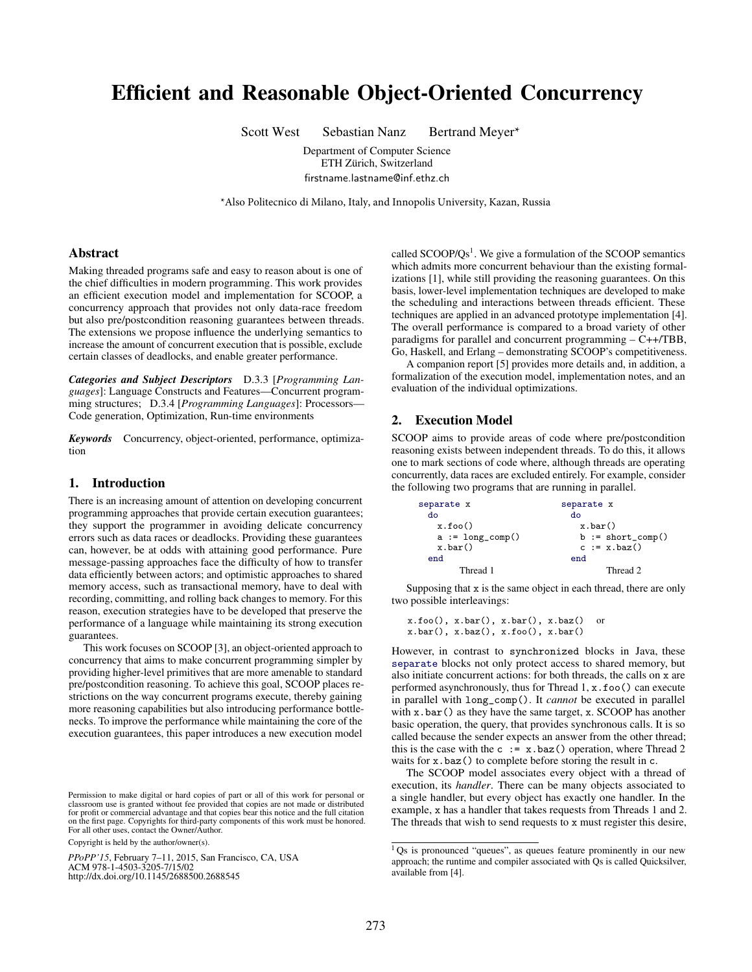# Efficient and Reasonable Object-Oriented Concurrency

Scott West Sebastian Nanz Bertrand Meyer\*

Department of Computer Science ETH Zürich, Switzerland firstname.lastname@inf.ethz.ch

\*Also Politecnico di Milano, Italy, and Innopolis University, Kazan, Russia

# Abstract

Making threaded programs safe and easy to reason about is one of the chief difficulties in modern programming. This work provides an efficient execution model and implementation for SCOOP, a concurrency approach that provides not only data-race freedom but also pre/postcondition reasoning guarantees between threads. The extensions we propose influence the underlying semantics to increase the amount of concurrent execution that is possible, exclude certain classes of deadlocks, and enable greater performance.

*Categories and Subject Descriptors* D.3.3 [*Programming Languages*]: Language Constructs and Features—Concurrent programming structures; D.3.4 [*Programming Languages*]: Processors— Code generation, Optimization, Run-time environments

*Keywords* Concurrency, object-oriented, performance, optimization

#### 1. Introduction

There is an increasing amount of attention on developing concurrent programming approaches that provide certain execution guarantees; they support the programmer in avoiding delicate concurrency errors such as data races or deadlocks. Providing these guarantees can, however, be at odds with attaining good performance. Pure message-passing approaches face the difficulty of how to transfer data efficiently between actors; and optimistic approaches to shared memory access, such as transactional memory, have to deal with recording, committing, and rolling back changes to memory. For this reason, execution strategies have to be developed that preserve the performance of a language while maintaining its strong execution guarantees.

This work focuses on SCOOP [3], an object-oriented approach to concurrency that aims to make concurrent programming simpler by providing higher-level primitives that are more amenable to standard pre/postcondition reasoning. To achieve this goal, SCOOP places restrictions on the way concurrent programs execute, thereby gaining more reasoning capabilities but also introducing performance bottlenecks. To improve the performance while maintaining the core of the execution guarantees, this paper introduces a new execution model

exemission to make digital or hard copies of part or all of this work for personal or<br>classroom use is granted without fee provided that copies are not made or distributed First page. Control to the first page. Component of the first page. Components for profit or commercial advantage and that copies bear this notice and the full citation on the first page. Copyrights for third-party components of this work must be honored. For all other uses, contact the Owner/Author.

Copyright is held by the author/owner(s).

*PPoPP'15*, February 7–11, 2015, San Francisco, CA, USA ACM 978-1-4503-3205-7/15/02<br>http://dx.doi.org/10.1145/2688500.2688545

called  $SCOOP/Qs<sup>1</sup>$ . We give a formulation of the SCOOP semantics which admits more concurrent behaviour than the existing formalizations [1], while still providing the reasoning guarantees. On this basis, lower-level implementation techniques are developed to make the scheduling and interactions between threads efficient. These techniques are applied in an advanced prototype implementation [4]. The overall performance is compared to a broad variety of other paradigms for parallel and concurrent programming – C++/TBB, Go, Haskell, and Erlang – demonstrating SCOOP's competitiveness.

A companion report [5] provides more details and, in addition, a formalization of the execution model, implementation notes, and an evaluation of the individual optimizations.

### 2. Execution Model

SCOOP aims to provide areas of code where pre/postcondition reasoning exists between independent threads. To do this, it allows one to mark sections of code where, although threads are operating concurrently, data races are excluded entirely. For example, consider the following two programs that are running in parallel.

| separate x             | separate x           |  |  |  |
|------------------------|----------------------|--|--|--|
| do                     | do                   |  |  |  |
| x.foo()                | $x \cdot bar()$      |  |  |  |
| $a := long_{comp}()$   | $b := short\_comp()$ |  |  |  |
| $x \cdot \text{bar}()$ | $c := x \cdot baz()$ |  |  |  |
| end                    | end                  |  |  |  |
| Thread 1               | Thread 2             |  |  |  |

Supposing that x is the same object in each thread, there are only two possible interleavings:

x.foo(), x.bar(), x.bar(), x.baz() or x.bar(), x.baz(), x.foo(), x.bar()

However, in contrast to synchronized blocks in Java, these separate blocks not only protect access to shared memory, but also initiate concurrent actions: for both threads, the calls on x are performed asynchronously, thus for Thread 1, x.foo() can execute in parallel with long\_comp(). It *cannot* be executed in parallel with x.bar() as they have the same target, x. SCOOP has another basic operation, the query, that provides synchronous calls. It is so called because the sender expects an answer from the other thread; this is the case with the c  $:= x \cdot baz()$  operation, where Thread 2 waits for x.baz() to complete before storing the result in c.

The SCOOP model associates every object with a thread of execution, its *handler*. There can be many objects associated to a single handler, but every object has exactly one handler. In the example, x has a handler that takes requests from Threads 1 and 2. The threads that wish to send requests to x must register this desire,

 $1$  Qs is pronounced "queues", as queues feature prominently in our new approach; the runtime and compiler associated with Qs is called Quicksilver, available from [4].